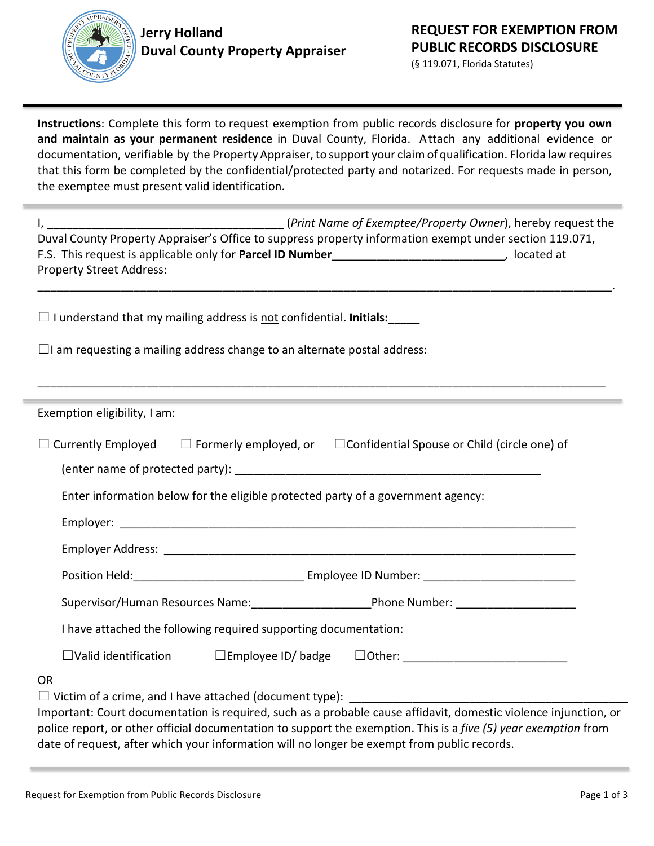

(§ 119.071, Florida Statutes)

**Instructions**: Complete this form to request exemption from public records disclosure for **property you own and maintain as your permanent residence** in Duval County, Florida. Attach any additional evidence or documentation, verifiable by the Property Appraiser, to support your claim of qualification. Florida law requires that this form be completed by the confidential/protected party and notarized. For requests made in person, the exemptee must present valid identification.

| Duval County Property Appraiser's Office to suppress property information exempt under section 119.071,<br>F.S. This request is applicable only for Parcel ID Number__________________________________, located at<br><b>Property Street Address:</b> |                                                                                                                     |  |  |  |  |
|-------------------------------------------------------------------------------------------------------------------------------------------------------------------------------------------------------------------------------------------------------|---------------------------------------------------------------------------------------------------------------------|--|--|--|--|
| $\Box$ I understand that my mailing address is <u>not</u> confidential. Initials:                                                                                                                                                                     |                                                                                                                     |  |  |  |  |
| $\Box$ I am requesting a mailing address change to an alternate postal address:                                                                                                                                                                       |                                                                                                                     |  |  |  |  |
| Exemption eligibility, I am:                                                                                                                                                                                                                          | and the contract of the contract of the contract of the contract of the contract of the contract of the contract of |  |  |  |  |
| $\Box$ Currently Employed $\Box$ Formerly employed, or $\Box$ Confidential Spouse or Child (circle one) of                                                                                                                                            |                                                                                                                     |  |  |  |  |
| Enter information below for the eligible protected party of a government agency:                                                                                                                                                                      |                                                                                                                     |  |  |  |  |
|                                                                                                                                                                                                                                                       |                                                                                                                     |  |  |  |  |
|                                                                                                                                                                                                                                                       |                                                                                                                     |  |  |  |  |
| Supervisor/Human Resources Name: ______________________________Phone Number: ______________________                                                                                                                                                   |                                                                                                                     |  |  |  |  |
| I have attached the following required supporting documentation:                                                                                                                                                                                      |                                                                                                                     |  |  |  |  |
|                                                                                                                                                                                                                                                       |                                                                                                                     |  |  |  |  |
| <b>OR</b><br>Important: Court documentation is required, such as a probable cause affidavit, domestic violence injunction, or<br>police report, or other official documentation to support the exemption. This is a five (5) year exemption from      |                                                                                                                     |  |  |  |  |

date of request, after which your information will no longer be exempt from public records.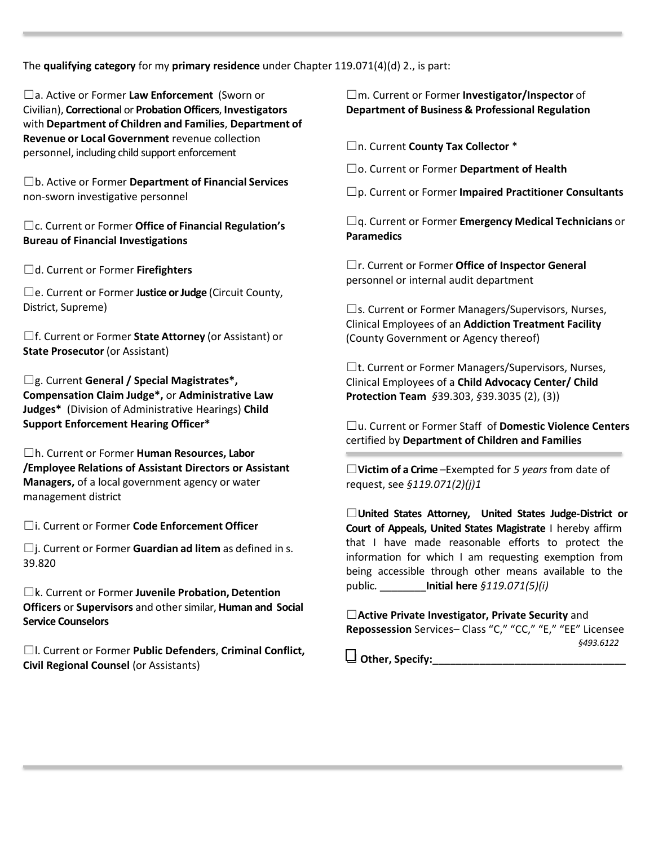The **qualifying category** for my **primary residence** under Chapter 119.071(4)(d) 2., is part:

☐a. Active or Former **Law Enforcement** (Sworn or Civilian), **Correctiona**l or **Probation Officers**, **Investigators** with **Department of Children and Families**, **Department of Revenue or Local Government** revenue collection personnel, including child support enforcement

☐b. Active or Former **Department of Financial Services** non-sworn investigative personnel

☐c. Current or Former **Office of Financial Regulation's Bureau of Financial Investigations**

☐d. Current or Former **Firefighters**

☐e. Current or Former **Justice or Judge** (Circuit County, District, Supreme)

☐f. Current or Former **State Attorney** (or Assistant) or **State Prosecutor** (or Assistant)

☐g. Current **General / Special Magistrates\*, Compensation Claim Judge\*,** or **Administrative Law Judges\*** (Division of Administrative Hearings) **Child Support Enforcement Hearing Officer\***

☐h. Current or Former **Human Resources, Labor /Employee Relations of Assistant Directors or Assistant Managers,** of a local government agency or water management district

☐i. Current or Former **Code Enforcement Officer**

☐j. Current or Former **Guardian ad litem** as defined in s. 39.820

☐k. Current or Former **Juvenile Probation, Detention Officers** or **Supervisors** and othersimilar, **Human and Social Service Counselors**

☐l. Current or Former **Public Defenders**, **Criminal Conflict, Civil Regional Counsel** (or Assistants)

☐m. Current or Former **Investigator/Inspector** of **Department of Business & Professional Regulation**

☐n. Current **County Tax Collector** \*

☐o. Current or Former **Department of Health**

☐p. Current or Former **Impaired Practitioner Consultants**

☐q. Current or Former **Emergency Medical Technicians** or **Paramedics**

☐r. Current or Former **Office of Inspector General** personnel or internal audit department

☐s. Current or Former Managers/Supervisors, Nurses, Clinical Employees of an **Addiction Treatment Facility** (County Government or Agency thereof)

 $\Box$ t. Current or Former Managers/Supervisors, Nurses, Clinical Employees of a **Child Advocacy Center/ Child Protection Team** *§*39.303, *§*39.3035 (2), (3))

☐u. Current or Former Staff of **Domestic Violence Centers** certified by **Department of Children and Families**

☐**Victim of a Crime** –Exempted for *5 years* from date of request, see *§119.071(2)(j)1*

☐**United States Attorney, United States Judge-District or Court of Appeals, United States Magistrate** I hereby affirm that I have made reasonable efforts to protect the information for which I am requesting exemption from being accessible through other means available to the public*.* \_\_\_\_\_\_\_\_**Initial here** *§119.071(5)(i)*

☐**Active Private Investigator, Private Security** and **Repossession** Services– Class "C," "CC," "E," "EE" Licensee *§493.6122*

☐ **Other, Specify:\_\_\_\_\_\_\_\_\_\_\_\_\_\_\_\_\_\_\_\_\_\_\_\_\_\_\_\_\_\_\_\_\_**